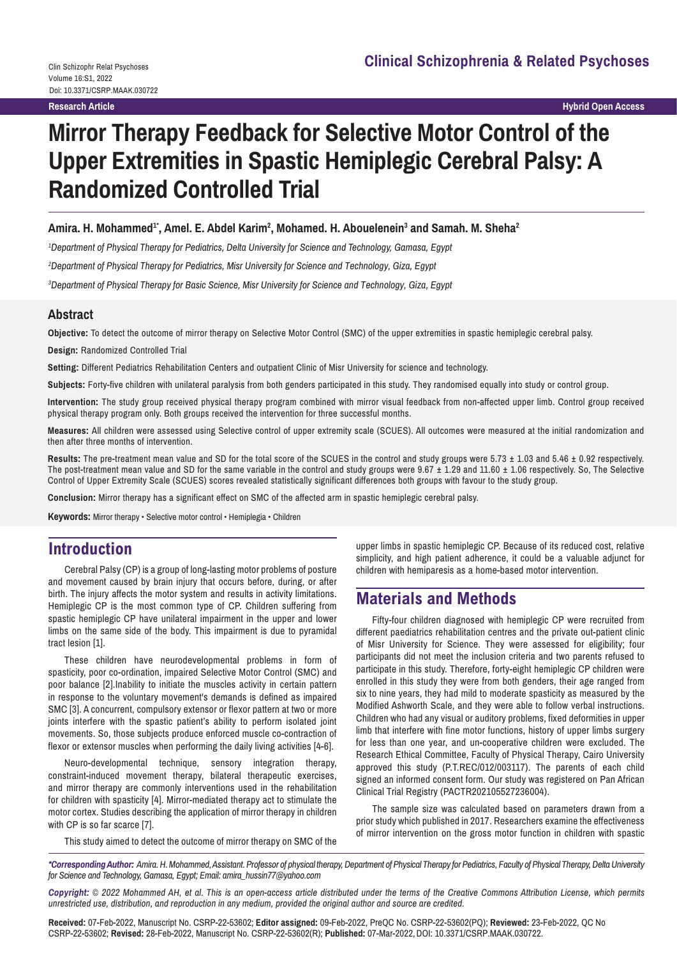**Hybrid Open Access**

# **Mirror Therapy Feedback for Selective Motor Control of the Upper Extremities in Spastic Hemiplegic Cerebral Palsy: A Randomized Controlled Trial**

#### Amira. H. Mohammed<sup>1</sup>\*, Amel. E. Abdel Karim<sup>2</sup>, Mohamed. H. Abouelenein<sup>3</sup> and Samah. M. Sheha<sup>2</sup>

*1 Department of Physical Therapy for Pediatrics, Delta University for Science and Technology, Gamasa, Egypt*

*2 Department of Physical Therapy for Pediatrics, Misr University for Science and Technology, Giza, Egypt*

*3 Department of Physical Therapy for Basic Science, Misr University for Science and Technology, Giza, Egypt*

#### **Abstract**

**Objective:** To detect the outcome of mirror therapy on Selective Motor Control (SMC) of the upper extremities in spastic hemiplegic cerebral palsy.

**Design:** Randomized Controlled Trial

**Setting:** Different Pediatrics Rehabilitation Centers and outpatient Clinic of Misr University for science and technology.

**Subjects:** Forty-five children with unilateral paralysis from both genders participated in this study. They randomised equally into study or control group.

**Intervention:** The study group received physical therapy program combined with mirror visual feedback from non-affected upper limb. Control group received physical therapy program only. Both groups received the intervention for three successful months.

**Measures:** All children were assessed using Selective control of upper extremity scale (SCUES). All outcomes were measured at the initial randomization and then after three months of intervention.

**Results:** The pre-treatment mean value and SD for the total score of the SCUES in the control and study groups were 5.73 ± 1.03 and 5.46 ± 0.92 respectively. The post-treatment mean value and SD for the same variable in the control and study groups were  $9.67 \pm 1.29$  and 11.60  $\pm$  1.06 respectively. So, The Selective Control of Upper Extremity Scale (SCUES) scores revealed statistically significant differences both groups with favour to the study group.

**Conclusion:** Mirror therapy has a significant effect on SMC of the affected arm in spastic hemiplegic cerebral palsy.

**Keywords:** Mirror therapy • Selective motor control • Hemiplegia • Children

### **Introduction**

Cerebral Palsy (CP) is a group of long-lasting motor problems of posture and movement caused by brain injury that occurs before, during, or after birth. The injury affects the motor system and results in activity limitations. Hemiplegic CP is the most common type of CP. Children suffering from spastic hemiplegic CP have unilateral impairment in the upper and lower limbs on the same side of the body. This impairment is due to pyramidal tract lesion [1].

These children have neurodevelopmental problems in form of spasticity, poor co-ordination, impaired Selective Motor Control (SMC) and poor balance [2].Inability to initiate the muscles activity in certain pattern in response to the voluntary movement's demands is defined as impaired SMC [3]. A concurrent, compulsory extensor or flexor pattern at two or more joints interfere with the spastic patient's ability to perform isolated joint movements. So, those subjects produce enforced muscle co-contraction of flexor or extensor muscles when performing the daily living activities [4-6].

Neuro-developmental technique, sensory integration therapy, constraint-induced movement therapy, bilateral therapeutic exercises, and mirror therapy are commonly interventions used in the rehabilitation for children with spasticity [4]. Mirror-mediated therapy act to stimulate the motor cortex. Studies describing the application of mirror therapy in children with CP is so far scarce [7].

upper limbs in spastic hemiplegic CP. Because of its reduced cost, relative simplicity, and high patient adherence, it could be a valuable adjunct for children with hemiparesis as a home-based motor intervention.

### **Materials and Methods**

Fifty-four children diagnosed with hemiplegic CP were recruited from different paediatrics rehabilitation centres and the private out-patient clinic of Misr University for Science. They were assessed for eligibility; four participants did not meet the inclusion criteria and two parents refused to participate in this study. Therefore, forty-eight hemiplegic CP children were enrolled in this study they were from both genders, their age ranged from six to nine years, they had mild to moderate spasticity as measured by the Modified Ashworth Scale, and they were able to follow verbal instructions. Children who had any visual or auditory problems, fixed deformities in upper limb that interfere with fine motor functions, history of upper limbs surgery for less than one year, and un-cooperative children were excluded. The Research Ethical Committee, Faculty of Physical Therapy, Cairo University approved this study (P.T.REC/012/003117). The parents of each child signed an informed consent form. Our study was registered on Pan African Clinical Trial Registry (PACTR202105527236004).

The sample size was calculated based on parameters drawn from a prior study which published in 2017. Researchers examine the effectiveness of mirror intervention on the gross motor function in children with spastic

This study aimed to detect the outcome of mirror therapy on SMC of the

*\*Corresponding Author: Amira. H. Mohammed,Assistant. Professor of physical therapy, Department of Physical Therapy for Pediatrics, Faculty of Physical Therapy, Delta University for Science and Technology, Gamasa, Egypt; Email: amira\_hussin77@yahoo.com*

*Copyright: © 2022 Mohammed AH, et al. This is an open-access article distributed under the terms of the Creative Commons Attribution License, which permits unrestricted use, distribution, and reproduction in any medium, provided the original author and source are credited.*

**Received:** 07-Feb-2022, Manuscript No. CSRP-22-53602; **Editor assigned:** 09-Feb-2022, PreQC No. CSRP-22-53602(PQ); **Reviewed:** 23-Feb-2022, QC No CSRP-22-53602; **Revised:** 28-Feb-2022, Manuscript No. CSRP-22-53602(R); **Published:** 07-Mar-2022, DOI: 10.3371/CSRP.MAAK.030722.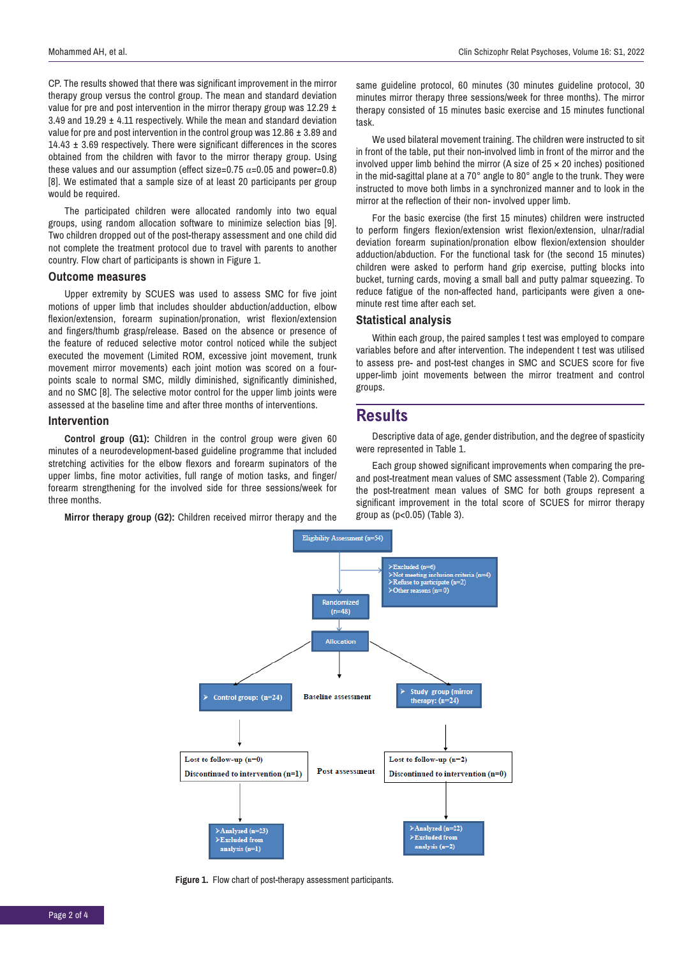CP. The results showed that there was significant improvement in the mirror therapy group versus the control group. The mean and standard deviation value for pre and post intervention in the mirror therapy group was  $12.29 \pm$ 3.49 and 19.29 ± 4.11 respectively. While the mean and standard deviation value for pre and post intervention in the control group was 12.86 ± 3.89 and  $14.43 \pm 3.69$  respectively. There were significant differences in the scores obtained from the children with favor to the mirror therapy group. Using these values and our assumption (effect size=0.75  $\alpha$ =0.05 and power=0.8) [8]. We estimated that a sample size of at least 20 participants per group would be required.

The participated children were allocated randomly into two equal groups, using random allocation software to minimize selection bias [9]. Two children dropped out of the post-therapy assessment and one child did not complete the treatment protocol due to travel with parents to another country. Flow chart of participants is shown in Figure 1.

#### **Outcome measures**

Upper extremity by SCUES was used to assess SMC for five joint motions of upper limb that includes shoulder abduction/adduction, elbow flexion/extension, forearm supination/pronation, wrist flexion/extension and fingers/thumb grasp/release. Based on the absence or presence of the feature of reduced selective motor control noticed while the subject executed the movement (Limited ROM, excessive joint movement, trunk movement mirror movements) each joint motion was scored on a fourpoints scale to normal SMC, mildly diminished, significantly diminished, and no SMC [8]. The selective motor control for the upper limb joints were assessed at the baseline time and after three months of interventions.

#### **Intervention**

**Control group (G1):** Children in the control group were given 60 minutes of a neurodevelopment-based guideline programme that included stretching activities for the elbow flexors and forearm supinators of the upper limbs, fine motor activities, full range of motion tasks, and finger/ forearm strengthening for the involved side for three sessions/week for three months.

**Mirror therapy group (G2):** Children received mirror therapy and the

same guideline protocol, 60 minutes (30 minutes guideline protocol, 30 minutes mirror therapy three sessions/week for three months). The mirror therapy consisted of 15 minutes basic exercise and 15 minutes functional task.

We used bilateral movement training. The children were instructed to sit in front of the table, put their non-involved limb in front of the mirror and the involved upper limb behind the mirror (A size of  $25 \times 20$  inches) positioned in the mid-sagittal plane at a 70° angle to 80° angle to the trunk. They were instructed to move both limbs in a synchronized manner and to look in the mirror at the reflection of their non- involved upper limb.

For the basic exercise (the first 15 minutes) children were instructed to perform fingers flexion/extension wrist flexion/extension, ulnar/radial deviation forearm supination/pronation elbow flexion/extension shoulder adduction/abduction. For the functional task for (the second 15 minutes) children were asked to perform hand grip exercise, putting blocks into bucket, turning cards, moving a small ball and putty palmar squeezing. To reduce fatigue of the non-affected hand, participants were given a oneminute rest time after each set.

#### **Statistical analysis**

Within each group, the paired samples t test was employed to compare variables before and after intervention. The independent t test was utilised to assess pre- and post-test changes in SMC and SCUES score for five upper-limb joint movements between the mirror treatment and control groups.

#### **Results**

Descriptive data of age, gender distribution, and the degree of spasticity were represented in Table 1.

Each group showed significant improvements when comparing the preand post-treatment mean values of SMC assessment (Table 2). Comparing the post-treatment mean values of SMC for both groups represent a significant improvement in the total score of SCUES for mirror therapy group as (p<0.05) (Table 3).



**Figure 1.** Flow chart of post-therapy assessment participants.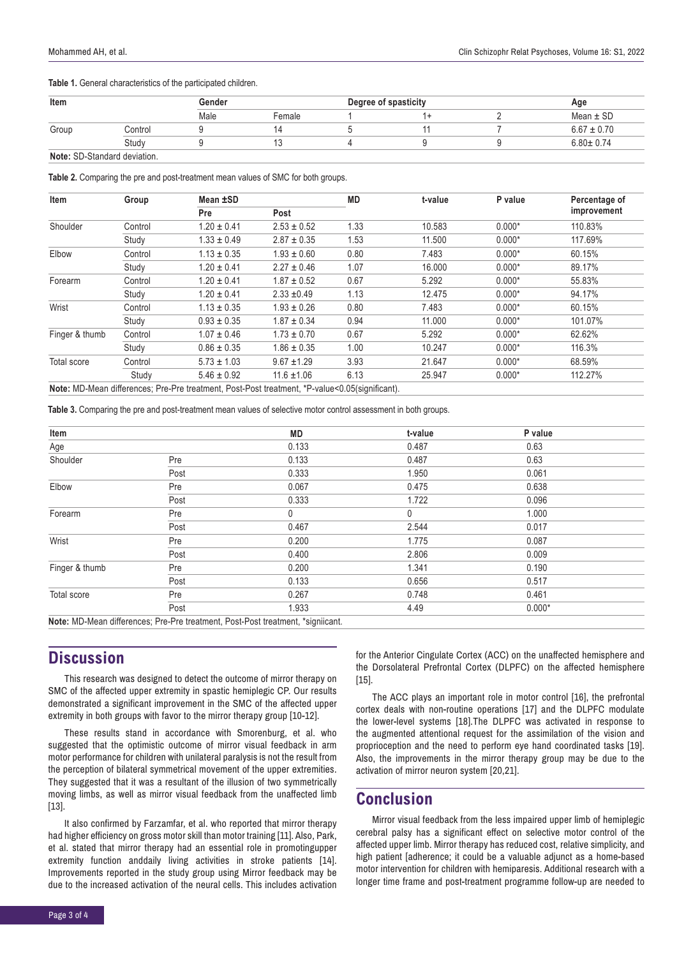**Table 1.** General characteristics of the participated children.

| Item  |                                     | Gender |        | Degree of spasticity |  |  | Age             |  |
|-------|-------------------------------------|--------|--------|----------------------|--|--|-----------------|--|
|       |                                     | Male   | Female |                      |  |  | Mean $\pm$ SD   |  |
| Group | Control                             |        |        |                      |  |  | $6.67 \pm 0.70$ |  |
|       | Study                               |        |        |                      |  |  | $6.80 \pm 0.74$ |  |
|       | <b>Note:</b> SD-Standard deviation. |        |        |                      |  |  |                 |  |

**Table 2.** Comparing the pre and post-treatment mean values of SMC for both groups.

| Item           | Group   | Mean ±SD                                                                                       |                 | <b>MD</b> | t-value | P value  | Percentage of |  |
|----------------|---------|------------------------------------------------------------------------------------------------|-----------------|-----------|---------|----------|---------------|--|
|                |         | Pre                                                                                            | Post            |           |         |          | improvement   |  |
| Shoulder       | Control | $1.20 \pm 0.41$                                                                                | $2.53 \pm 0.52$ | 1.33      | 10.583  | $0.000*$ | 110.83%       |  |
|                | Study   | $1.33 \pm 0.49$                                                                                | $2.87 \pm 0.35$ | 1.53      | 11.500  | $0.000*$ | 117.69%       |  |
| Elbow          | Control | $1.13 \pm 0.35$                                                                                | $1.93 \pm 0.60$ | 0.80      | 7.483   | $0.000*$ | 60.15%        |  |
|                | Study   | $1.20 \pm 0.41$                                                                                | $2.27 \pm 0.46$ | 1.07      | 16.000  | $0.000*$ | 89.17%        |  |
| Forearm        | Control | $1.20 \pm 0.41$                                                                                | $1.87 \pm 0.52$ | 0.67      | 5.292   | $0.000*$ | 55.83%        |  |
|                | Study   | $1.20 \pm 0.41$                                                                                | $2.33 + 0.49$   | 1.13      | 12.475  | $0.000*$ | 94.17%        |  |
| Wrist          | Control | $1.13 \pm 0.35$                                                                                | $1.93 \pm 0.26$ | 0.80      | 7.483   | $0.000*$ | 60.15%        |  |
|                | Study   | $0.93 \pm 0.35$                                                                                | $1.87 \pm 0.34$ | 0.94      | 11.000  | $0.000*$ | 101.07%       |  |
| Finger & thumb | Control | $1.07 \pm 0.46$                                                                                | $1.73 \pm 0.70$ | 0.67      | 5.292   | $0.000*$ | 62.62%        |  |
|                | Study   | $0.86 \pm 0.35$                                                                                | $1.86 \pm 0.35$ | 1.00      | 10.247  | $0.000*$ | 116.3%        |  |
| Total score    | Control | $5.73 \pm 1.03$                                                                                | $9.67 + 1.29$   | 3.93      | 21.647  | $0.000*$ | 68.59%        |  |
|                | Study   | $5.46 \pm 0.92$                                                                                | $11.6 \pm 1.06$ | 6.13      | 25.947  | $0.000*$ | 112.27%       |  |
|                |         | Note: MD-Mean differences; Pre-Pre treatment, Post-Post treatment, *P-value<0.05(significant). |                 |           |         |          |               |  |

**Table 3.** Comparing the pre and post-treatment mean values of selective motor control assessment in both groups.

| Item           |      | <b>MD</b> | t-value      | P value  |  |
|----------------|------|-----------|--------------|----------|--|
| Age            |      | 0.133     | 0.487        | 0.63     |  |
| Shoulder       | Pre  | 0.133     | 0.487        | 0.63     |  |
|                | Post | 0.333     | 1.950        | 0.061    |  |
| Elbow          | Pre  | 0.067     | 0.475        | 0.638    |  |
|                | Post | 0.333     | 1.722        | 0.096    |  |
| Forearm        | Pre  | 0         | $\mathbf{0}$ | 1.000    |  |
|                | Post | 0.467     | 2.544        | 0.017    |  |
| Wrist          | Pre  | 0.200     | 1.775        | 0.087    |  |
|                | Post | 0.400     | 2.806        | 0.009    |  |
| Finger & thumb | Pre  | 0.200     | 1.341        | 0.190    |  |
|                | Post | 0.133     | 0.656        | 0.517    |  |
| Total score    | Pre  | 0.267     | 0.748        | 0.461    |  |
|                | Post | 1.933     | 4.49         | $0.000*$ |  |

# **Discussion**

This research was designed to detect the outcome of mirror therapy on SMC of the affected upper extremity in spastic hemiplegic CP. Our results demonstrated a significant improvement in the SMC of the affected upper extremity in both groups with favor to the mirror therapy group [10-12].

These results stand in accordance with Smorenburg, et al. who suggested that the optimistic outcome of mirror visual feedback in arm motor performance for children with unilateral paralysis is not the result from the perception of bilateral symmetrical movement of the upper extremities. They suggested that it was a resultant of the illusion of two symmetrically moving limbs, as well as mirror visual feedback from the unaffected limb [13].

It also confirmed by Farzamfar, et al. who reported that mirror therapy had higher efficiency on gross motor skill than motor training [11]. Also, Park, et al. stated that mirror therapy had an essential role in promotingupper extremity function anddaily living activities in stroke patients [14]. Improvements reported in the study group using Mirror feedback may be due to the increased activation of the neural cells. This includes activation

for the Anterior Cingulate Cortex (ACC) on the unaffected hemisphere and the Dorsolateral Prefrontal Cortex (DLPFC) on the affected hemisphere [15].

The ACC plays an important role in motor control [16], the prefrontal cortex deals with non-routine operations [17] and the DLPFC modulate the lower-level systems [18].The DLPFC was activated in response to the augmented attentional request for the assimilation of the vision and proprioception and the need to perform eye hand coordinated tasks [19]. Also, the improvements in the mirror therapy group may be due to the activation of mirror neuron system [20,21].

### **Conclusion**

Mirror visual feedback from the less impaired upper limb of hemiplegic cerebral palsy has a significant effect on selective motor control of the affected upper limb. Mirror therapy has reduced cost, relative simplicity, and high patient [adherence; it could be a valuable adjunct as a home-based motor intervention for children with hemiparesis. Additional research with a longer time frame and post-treatment programme follow-up are needed to